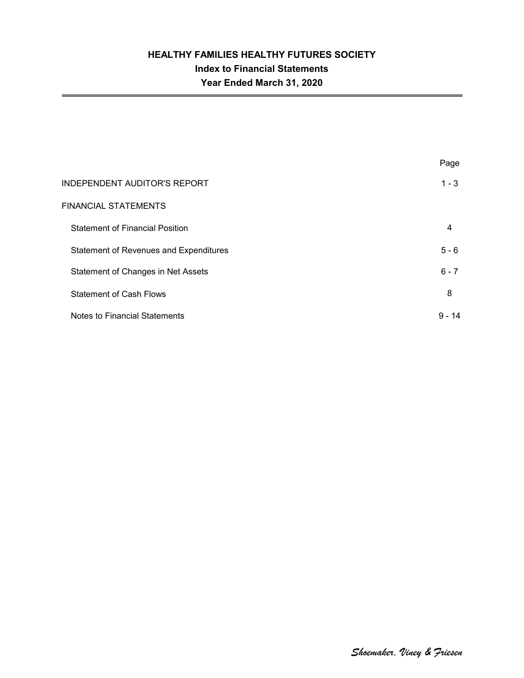|                                        | Page     |
|----------------------------------------|----------|
| <b>INDEPENDENT AUDITOR'S REPORT</b>    | $1 - 3$  |
| FINANCIAL STATEMENTS                   |          |
| <b>Statement of Financial Position</b> | 4        |
| Statement of Revenues and Expenditures | $5 - 6$  |
| Statement of Changes in Net Assets     | $6 - 7$  |
| <b>Statement of Cash Flows</b>         | 8        |
| Notes to Financial Statements          | $9 - 14$ |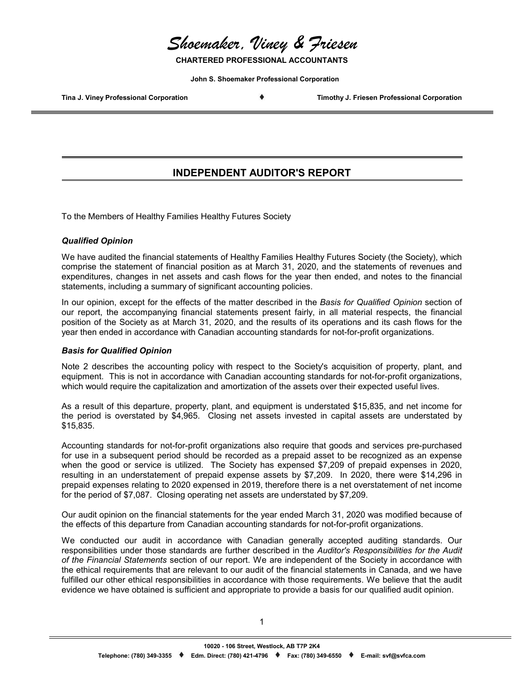*Shoemaker, Viney & Friesen*

**CHARTERED PROFESSIONAL ACCOUNTANTS**

**John S. Shoemaker Professional Corporation**

**Tina J. Viney Professional Corporation Timothy J. Friesen Professional Corporation**

## **INDEPENDENT AUDITOR'S REPORT**

To the Members of Healthy Families Healthy Futures Society

#### *Qualified Opinion*

We have audited the financial statements of Healthy Families Healthy Futures Society (the Society), which comprise the statement of financial position as at March 31, 2020, and the statements of revenues and expenditures, changes in net assets and cash flows for the year then ended, and notes to the financial statements, including a summary of significant accounting policies.

In our opinion, except for the effects of the matter described in the *Basis for Qualified Opinion* section of our report, the accompanying financial statements present fairly, in all material respects, the financial position of the Society as at March 31, 2020, and the results of its operations and its cash flows for the year then ended in accordance with Canadian accounting standards for not-for-profit organizations.

#### *Basis for Qualified Opinion*

Note 2 describes the accounting policy with respect to the Society's acquisition of property, plant, and equipment. This is not in accordance with Canadian accounting standards for not-for-profit organizations, which would require the capitalization and amortization of the assets over their expected useful lives.

As a result of this departure, property, plant, and equipment is understated \$15,835, and net income for the period is overstated by \$4,965. Closing net assets invested in capital assets are understated by \$15,835.

Accounting standards for not-for-profit organizations also require that goods and services pre-purchased for use in a subsequent period should be recorded as a prepaid asset to be recognized as an expense when the good or service is utilized. The Society has expensed \$7,209 of prepaid expenses in 2020, resulting in an understatement of prepaid expense assets by \$7,209. In 2020, there were \$14,296 in prepaid expenses relating to 2020 expensed in 2019, therefore there is a net overstatement of net income for the period of \$7,087. Closing operating net assets are understated by \$7,209.

Our audit opinion on the financial statements for the year ended March 31, 2020 was modified because of the effects of this departure from Canadian accounting standards for not-for-profit organizations.

We conducted our audit in accordance with Canadian generally accepted auditing standards. Our responsibilities under those standards are further described in the *Auditor's Responsibilities for the Audit of the Financial Statements* section of our report. We are independent of the Society in accordance with the ethical requirements that are relevant to our audit of the financial statements in Canada, and we have fulfilled our other ethical responsibilities in accordance with those requirements. We believe that the audit evidence we have obtained is sufficient and appropriate to provide a basis for our qualified audit opinion.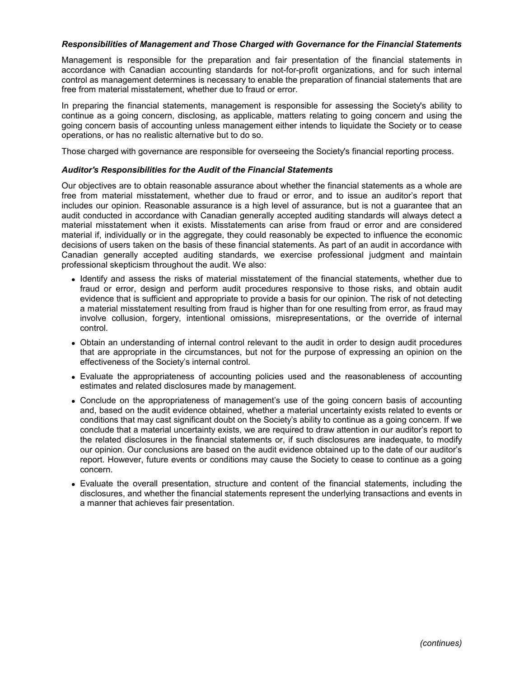#### *Responsibilities of Management and Those Charged with Governance for the Financial Statements*

Management is responsible for the preparation and fair presentation of the financial statements in accordance with Canadian accounting standards for not-for-profit organizations, and for such internal control as management determines is necessary to enable the preparation of financial statements that are free from material misstatement, whether due to fraud or error.

In preparing the financial statements, management is responsible for assessing the Society's ability to continue as a going concern, disclosing, as applicable, matters relating to going concern and using the going concern basis of accounting unless management either intends to liquidate the Society or to cease operations, or has no realistic alternative but to do so.

Those charged with governance are responsible for overseeing the Society's financial reporting process.

#### *Auditor's Responsibilities for the Audit of the Financial Statements*

Our objectives are to obtain reasonable assurance about whether the financial statements as a whole are free from material misstatement, whether due to fraud or error, and to issue an auditor's report that includes our opinion. Reasonable assurance is a high level of assurance, but is not a guarantee that an audit conducted in accordance with Canadian generally accepted auditing standards will always detect a material misstatement when it exists. Misstatements can arise from fraud or error and are considered material if, individually or in the aggregate, they could reasonably be expected to influence the economic decisions of users taken on the basis of these financial statements. As part of an audit in accordance with Canadian generally accepted auditing standards, we exercise professional judgment and maintain professional skepticism throughout the audit. We also:

- Identify and assess the risks of material misstatement of the financial statements, whether due to fraud or error, design and perform audit procedures responsive to those risks, and obtain audit evidence that is sufficient and appropriate to provide a basis for our opinion. The risk of not detecting a material misstatement resulting from fraud is higher than for one resulting from error, as fraud may involve collusion, forgery, intentional omissions, misrepresentations, or the override of internal control.
- Obtain an understanding of internal control relevant to the audit in order to design audit procedures that are appropriate in the circumstances, but not for the purpose of expressing an opinion on the effectiveness of the Society's internal control.
- Evaluate the appropriateness of accounting policies used and the reasonableness of accounting estimates and related disclosures made by management.
- Conclude on the appropriateness of management's use of the going concern basis of accounting and, based on the audit evidence obtained, whether a material uncertainty exists related to events or conditions that may cast significant doubt on the Society's ability to continue as a going concern. If we conclude that a material uncertainty exists, we are required to draw attention in our auditor's report to the related disclosures in the financial statements or, if such disclosures are inadequate, to modify our opinion. Our conclusions are based on the audit evidence obtained up to the date of our auditor's report. However, future events or conditions may cause the Society to cease to continue as a going concern.
- Evaluate the overall presentation, structure and content of the financial statements, including the disclosures, and whether the financial statements represent the underlying transactions and events in a manner that achieves fair presentation.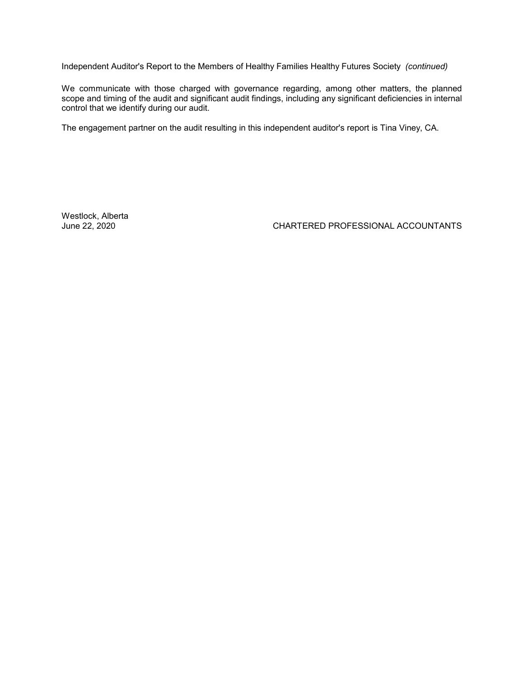Independent Auditor's Report to the Members of Healthy Families Healthy Futures Society *(continued)*

We communicate with those charged with governance regarding, among other matters, the planned scope and timing of the audit and significant audit findings, including any significant deficiencies in internal control that we identify during our audit.

The engagement partner on the audit resulting in this independent auditor's report is Tina Viney, CA.

Westlock, Alberta<br>June 22, 2020

CHARTERED PROFESSIONAL ACCOUNTANTS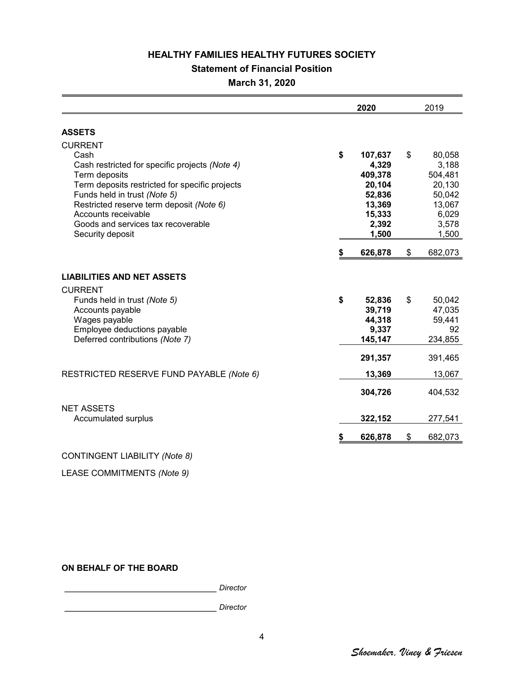## **Statement of Financial Position**

**March 31, 2020**

|                                                                                                                                                                                                                                                                                                          | 2020 |                                                                                       |    | 2019                                                                                |  |
|----------------------------------------------------------------------------------------------------------------------------------------------------------------------------------------------------------------------------------------------------------------------------------------------------------|------|---------------------------------------------------------------------------------------|----|-------------------------------------------------------------------------------------|--|
| <b>ASSETS</b>                                                                                                                                                                                                                                                                                            |      |                                                                                       |    |                                                                                     |  |
| <b>CURRENT</b><br>Cash<br>Cash restricted for specific projects (Note 4)<br>Term deposits<br>Term deposits restricted for specific projects<br>Funds held in trust (Note 5)<br>Restricted reserve term deposit (Note 6)<br>Accounts receivable<br>Goods and services tax recoverable<br>Security deposit | \$   | 107,637<br>4,329<br>409,378<br>20,104<br>52,836<br>13,369<br>15,333<br>2,392<br>1,500 | \$ | 80,058<br>3,188<br>504,481<br>20,130<br>50,042<br>13,067<br>6,029<br>3,578<br>1,500 |  |
|                                                                                                                                                                                                                                                                                                          | S    | 626,878                                                                               | \$ | 682,073                                                                             |  |
| <b>LIABILITIES AND NET ASSETS</b><br><b>CURRENT</b>                                                                                                                                                                                                                                                      |      |                                                                                       |    |                                                                                     |  |
| Funds held in trust (Note 5)<br>Accounts payable<br>Wages payable<br>Employee deductions payable<br>Deferred contributions (Note 7)                                                                                                                                                                      | \$   | 52,836<br>39,719<br>44,318<br>9,337<br>145,147<br>291,357                             | \$ | 50,042<br>47,035<br>59,441<br>92<br>234,855<br>391,465                              |  |
| RESTRICTED RESERVE FUND PAYABLE (Note 6)                                                                                                                                                                                                                                                                 |      | 13,369<br>304,726                                                                     |    | 13,067<br>404,532                                                                   |  |
| <b>NET ASSETS</b><br>Accumulated surplus                                                                                                                                                                                                                                                                 |      | 322,152                                                                               |    | 277,541                                                                             |  |
|                                                                                                                                                                                                                                                                                                          | \$   | 626,878                                                                               | \$ | 682,073                                                                             |  |

## CONTINGENT LIABILITY *(Note 8)*

LEASE COMMITMENTS *(Note 9)*

## **ON BEHALF OF THE BOARD**

\_\_\_\_\_\_\_\_\_\_\_\_\_\_\_\_\_\_\_\_\_\_\_\_\_\_\_\_\_ *Director*

\_\_\_\_\_\_\_\_\_\_\_\_\_\_\_\_\_\_\_\_\_\_\_\_\_\_\_\_\_ *Director*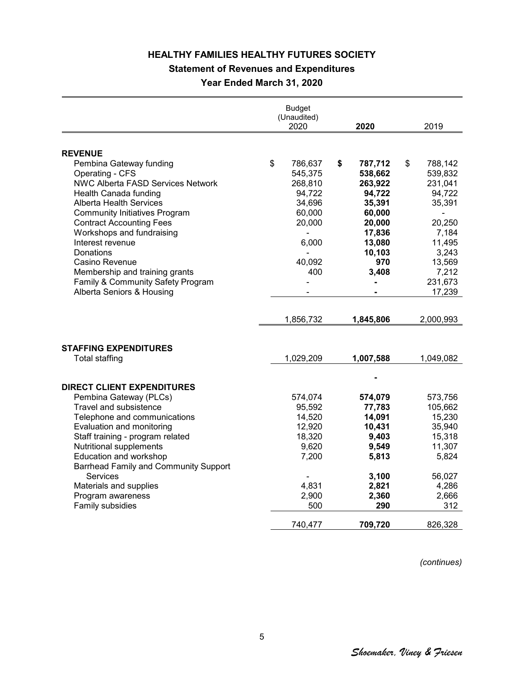**Statement of Revenues and Expenditures**

**Year Ended March 31, 2020**

|                                                             | <b>Budget</b><br>(Unaudited)<br>2020 | 2020            | 2019             |
|-------------------------------------------------------------|--------------------------------------|-----------------|------------------|
|                                                             |                                      |                 |                  |
| <b>REVENUE</b>                                              |                                      |                 |                  |
| Pembina Gateway funding                                     | \$<br>786,637                        | \$<br>787,712   | \$<br>788,142    |
| Operating - CFS                                             | 545,375                              | 538,662         | 539,832          |
| <b>NWC Alberta FASD Services Network</b>                    | 268,810                              | 263,922         | 231,041          |
| Health Canada funding                                       | 94,722                               | 94,722          | 94,722           |
| Alberta Health Services                                     | 34,696                               | 35,391          | 35,391           |
| <b>Community Initiatives Program</b>                        | 60,000                               | 60,000          |                  |
| <b>Contract Accounting Fees</b>                             | 20,000                               | 20,000          | 20,250           |
| Workshops and fundraising                                   |                                      | 17,836          | 7,184            |
| Interest revenue                                            | 6,000                                | 13,080          | 11,495           |
| Donations                                                   |                                      | 10,103          | 3,243            |
| Casino Revenue                                              | 40,092                               | 970             | 13,569           |
| Membership and training grants                              | 400                                  | 3,408           | 7,212            |
| Family & Community Safety Program                           |                                      |                 | 231,673          |
| Alberta Seniors & Housing                                   |                                      |                 | 17,239           |
|                                                             |                                      |                 |                  |
|                                                             | 1,856,732                            | 1,845,806       | 2,000,993        |
|                                                             |                                      |                 |                  |
| <b>STAFFING EXPENDITURES</b><br><b>Total staffing</b>       | 1,029,209                            | 1,007,588       | 1,049,082        |
|                                                             |                                      |                 |                  |
| <b>DIRECT CLIENT EXPENDITURES</b>                           |                                      |                 |                  |
| Pembina Gateway (PLCs)                                      | 574,074                              | 574,079         | 573,756          |
| Travel and subsistence                                      | 95,592                               | 77,783          | 105,662          |
| Telephone and communications                                | 14,520                               | 14,091          | 15,230           |
| Evaluation and monitoring                                   | 12,920<br>18,320                     | 10,431<br>9,403 | 35,940<br>15,318 |
| Staff training - program related<br>Nutritional supplements | 9,620                                | 9,549           | 11,307           |
| Education and workshop                                      | 7,200                                | 5,813           | 5,824            |
| Barrhead Family and Community Support                       |                                      |                 |                  |
| Services                                                    |                                      | 3,100           | 56,027           |
| Materials and supplies                                      | 4,831                                | 2,821           | 4,286            |
| Program awareness                                           | 2,900                                | 2,360           | 2,666            |
| Family subsidies                                            | 500                                  | 290             | 312              |
|                                                             | 740,477                              | 709,720         | 826,328          |

*(continues)*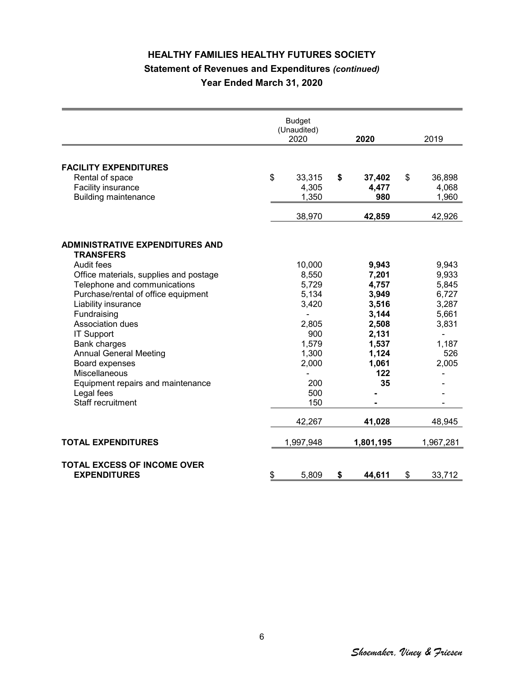# **HEALTHY FAMILIES HEALTHY FUTURES SOCIETY Statement of Revenues and Expenditures** *(continued)* **Year Ended March 31, 2020**

|                                                                                                                                                                                                                                                                                                                                                                                                                                             | <b>Budget</b><br>(Unaudited)<br>2020                                                                       | 2020                                                                                                         | 2019                                                                                 |
|---------------------------------------------------------------------------------------------------------------------------------------------------------------------------------------------------------------------------------------------------------------------------------------------------------------------------------------------------------------------------------------------------------------------------------------------|------------------------------------------------------------------------------------------------------------|--------------------------------------------------------------------------------------------------------------|--------------------------------------------------------------------------------------|
| <b>FACILITY EXPENDITURES</b><br>Rental of space<br>Facility insurance                                                                                                                                                                                                                                                                                                                                                                       | \$<br>33,315<br>4,305                                                                                      | \$<br>37,402<br>4,477                                                                                        | \$<br>36,898<br>4,068                                                                |
| <b>Building maintenance</b>                                                                                                                                                                                                                                                                                                                                                                                                                 | 1,350<br>38,970                                                                                            | 980<br>42,859                                                                                                | 1,960<br>42,926                                                                      |
| <b>ADMINISTRATIVE EXPENDITURES AND</b><br><b>TRANSFERS</b><br>Audit fees<br>Office materials, supplies and postage<br>Telephone and communications<br>Purchase/rental of office equipment<br>Liability insurance<br>Fundraising<br><b>Association dues</b><br><b>IT Support</b><br>Bank charges<br><b>Annual General Meeting</b><br>Board expenses<br>Miscellaneous<br>Equipment repairs and maintenance<br>Legal fees<br>Staff recruitment | 10,000<br>8,550<br>5,729<br>5,134<br>3,420<br>2,805<br>900<br>1,579<br>1,300<br>2,000<br>200<br>500<br>150 | 9,943<br>7,201<br>4,757<br>3,949<br>3,516<br>3,144<br>2,508<br>2,131<br>1,537<br>1,124<br>1,061<br>122<br>35 | 9,943<br>9,933<br>5,845<br>6,727<br>3,287<br>5,661<br>3,831<br>1,187<br>526<br>2,005 |
|                                                                                                                                                                                                                                                                                                                                                                                                                                             | 42,267                                                                                                     | 41,028                                                                                                       | 48,945                                                                               |
| <b>TOTAL EXPENDITURES</b>                                                                                                                                                                                                                                                                                                                                                                                                                   | 1,997,948                                                                                                  | 1,801,195                                                                                                    | 1,967,281                                                                            |
| <b>TOTAL EXCESS OF INCOME OVER</b><br><b>EXPENDITURES</b>                                                                                                                                                                                                                                                                                                                                                                                   | \$<br>5,809                                                                                                | \$<br>44,611                                                                                                 | \$<br>33,712                                                                         |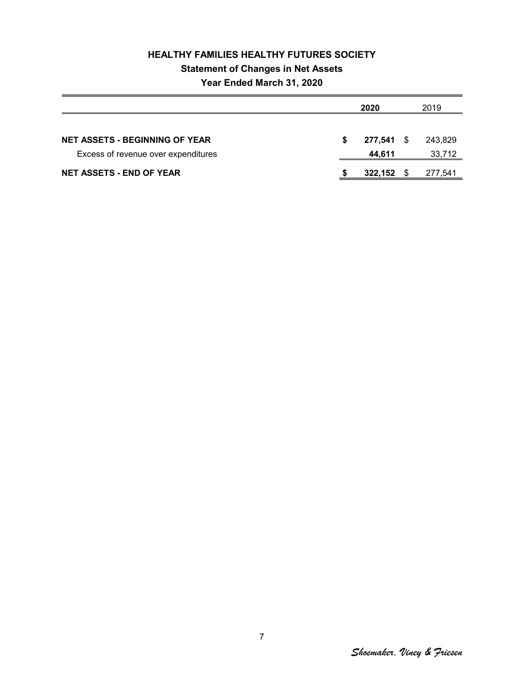# **HEALTHY FAMILIES HEALTHY FUTURES SOCIETY Statement of Changes in Net Assets Year Ended March 31, 2020**

|                                       |    | 2020         | 2019    |
|---------------------------------------|----|--------------|---------|
|                                       |    |              |         |
| <b>NET ASSETS - BEGINNING OF YEAR</b> | S. | 277,541 \$   | 243.829 |
| Excess of revenue over expenditures   |    | 44.611       | 33,712  |
| <b>NET ASSETS - END OF YEAR</b>       |    | $322,152$ \$ | 277,541 |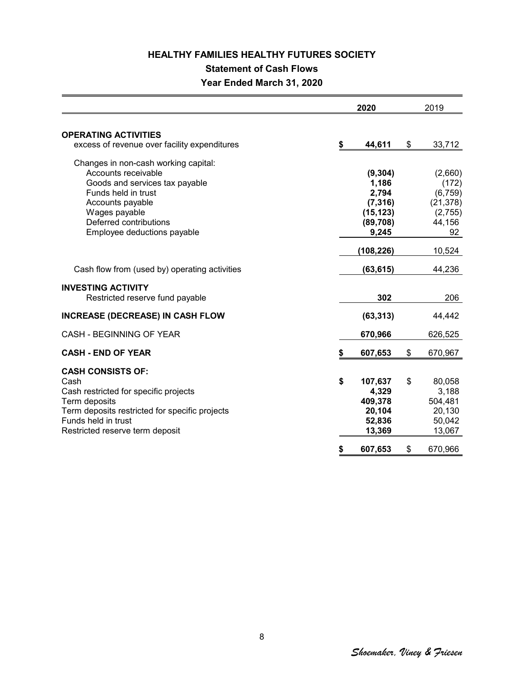## **Statement of Cash Flows**

**Year Ended March 31, 2020**

|                                                                                                                                                                                                                    |          | 2020                                                                                   |          | 2019                                                                           |
|--------------------------------------------------------------------------------------------------------------------------------------------------------------------------------------------------------------------|----------|----------------------------------------------------------------------------------------|----------|--------------------------------------------------------------------------------|
| <b>OPERATING ACTIVITIES</b><br>excess of revenue over facility expenditures                                                                                                                                        | \$       | 44,611                                                                                 | \$       | 33,712                                                                         |
| Changes in non-cash working capital:<br>Accounts receivable<br>Goods and services tax payable<br>Funds held in trust<br>Accounts payable<br>Wages payable<br>Deferred contributions<br>Employee deductions payable |          | (9, 304)<br>1,186<br>2,794<br>(7, 316)<br>(15, 123)<br>(89,708)<br>9,245<br>(108, 226) |          | (2,660)<br>(172)<br>(6, 759)<br>(21, 378)<br>(2,755)<br>44,156<br>92<br>10,524 |
| Cash flow from (used by) operating activities                                                                                                                                                                      |          | (63, 615)                                                                              |          | 44,236                                                                         |
| <b>INVESTING ACTIVITY</b><br>Restricted reserve fund payable                                                                                                                                                       |          | 302                                                                                    |          | 206                                                                            |
| <b>INCREASE (DECREASE) IN CASH FLOW</b>                                                                                                                                                                            |          | (63, 313)                                                                              |          | 44,442                                                                         |
| CASH - BEGINNING OF YEAR                                                                                                                                                                                           |          | 670,966                                                                                |          | 626,525                                                                        |
| <b>CASH - END OF YEAR</b>                                                                                                                                                                                          | \$       | 607,653                                                                                | \$       | 670,967                                                                        |
| <b>CASH CONSISTS OF:</b><br>Cash<br>Cash restricted for specific projects<br>Term deposits<br>Term deposits restricted for specific projects<br>Funds held in trust<br>Restricted reserve term deposit             | \$<br>\$ | 107,637<br>4,329<br>409,378<br>20,104<br>52,836<br>13,369<br>607,653                   | \$<br>\$ | 80,058<br>3,188<br>504,481<br>20,130<br>50,042<br>13,067<br>670,966            |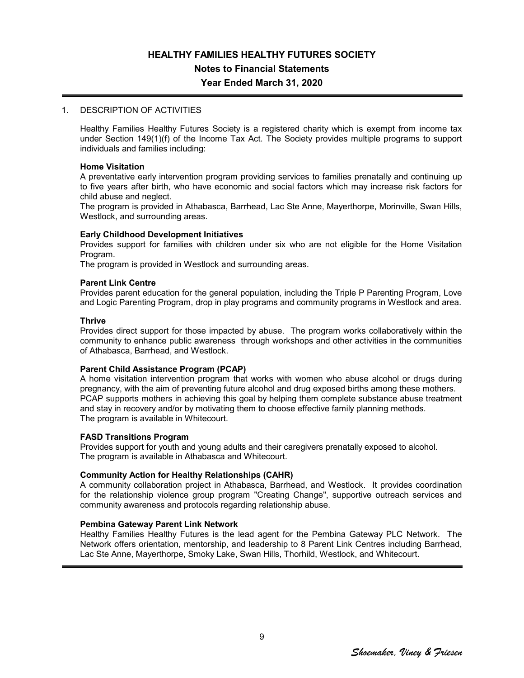# **HEALTHY FAMILIES HEALTHY FUTURES SOCIETY Notes to Financial Statements**

## **Year Ended March 31, 2020**

### 1. DESCRIPTION OF ACTIVITIES

Healthy Families Healthy Futures Society is a registered charity which is exempt from income tax under Section 149(1)(f) of the Income Tax Act. The Society provides multiple programs to support individuals and families including:

#### **Home Visitation**

A preventative early intervention program providing services to families prenatally and continuing up to five years after birth, who have economic and social factors which may increase risk factors for child abuse and neglect.

The program is provided in Athabasca, Barrhead, Lac Ste Anne, Mayerthorpe, Morinville, Swan Hills, Westlock, and surrounding areas.

### **Early Childhood Development Initiatives**

Provides support for families with children under six who are not eligible for the Home Visitation Program.

The program is provided in Westlock and surrounding areas.

### **Parent Link Centre**

Provides parent education for the general population, including the Triple P Parenting Program, Love and Logic Parenting Program, drop in play programs and community programs in Westlock and area.

#### **Thrive**

Provides direct support for those impacted by abuse. The program works collaboratively within the community to enhance public awareness through workshops and other activities in the communities of Athabasca, Barrhead, and Westlock.

#### **Parent Child Assistance Program (PCAP)**

A home visitation intervention program that works with women who abuse alcohol or drugs during pregnancy, with the aim of preventing future alcohol and drug exposed births among these mothers. PCAP supports mothers in achieving this goal by helping them complete substance abuse treatment and stay in recovery and/or by motivating them to choose effective family planning methods. The program is available in Whitecourt.

#### **FASD Transitions Program**

Provides support for youth and young adults and their caregivers prenatally exposed to alcohol. The program is available in Athabasca and Whitecourt.

### **Community Action for Healthy Relationships (CAHR)**

A community collaboration project in Athabasca, Barrhead, and Westlock. It provides coordination for the relationship violence group program "Creating Change", supportive outreach services and community awareness and protocols regarding relationship abuse.

## **Pembina Gateway Parent Link Network**

Healthy Families Healthy Futures is the lead agent for the Pembina Gateway PLC Network. The Network offers orientation, mentorship, and leadership to 8 Parent Link Centres including Barrhead, Lac Ste Anne, Mayerthorpe, Smoky Lake, Swan Hills, Thorhild, Westlock, and Whitecourt.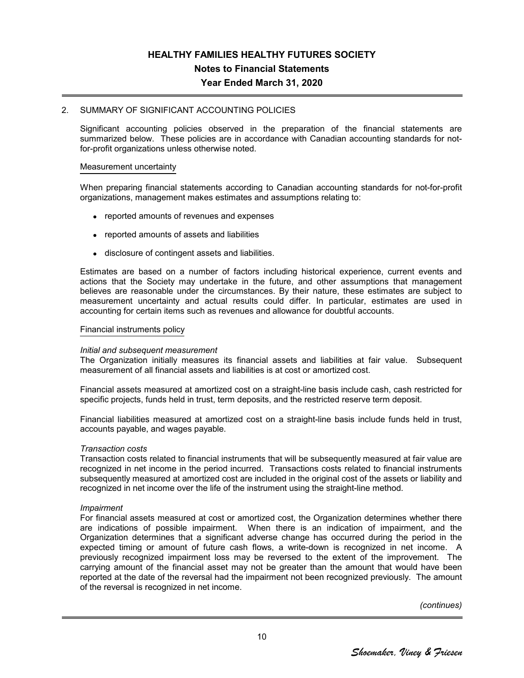### 2. SUMMARY OF SIGNIFICANT ACCOUNTING POLICIES

Significant accounting policies observed in the preparation of the financial statements are summarized below. These policies are in accordance with Canadian accounting standards for notfor-profit organizations unless otherwise noted.

#### Measurement uncertainty

When preparing financial statements according to Canadian accounting standards for not-for-profit organizations, management makes estimates and assumptions relating to:

- reported amounts of revenues and expenses
- reported amounts of assets and liabilities
- disclosure of contingent assets and liabilities.

Estimates are based on a number of factors including historical experience, current events and actions that the Society may undertake in the future, and other assumptions that management believes are reasonable under the circumstances. By their nature, these estimates are subject to measurement uncertainty and actual results could differ. In particular, estimates are used in accounting for certain items such as revenues and allowance for doubtful accounts.

#### Financial instruments policy

#### *Initial and subsequent measurement*

The Organization initially measures its financial assets and liabilities at fair value. Subsequent measurement of all financial assets and liabilities is at cost or amortized cost.

Financial assets measured at amortized cost on a straight-line basis include cash, cash restricted for specific projects, funds held in trust, term deposits, and the restricted reserve term deposit.

Financial liabilities measured at amortized cost on a straight-line basis include funds held in trust, accounts payable, and wages payable.

#### *Transaction costs*

Transaction costs related to financial instruments that will be subsequently measured at fair value are recognized in net income in the period incurred. Transactions costs related to financial instruments subsequently measured at amortized cost are included in the original cost of the assets or liability and recognized in net income over the life of the instrument using the straight-line method.

#### *Impairment*

For financial assets measured at cost or amortized cost, the Organization determines whether there are indications of possible impairment. When there is an indication of impairment, and the Organization determines that a significant adverse change has occurred during the period in the expected timing or amount of future cash flows, a write-down is recognized in net income. A previously recognized impairment loss may be reversed to the extent of the improvement. The carrying amount of the financial asset may not be greater than the amount that would have been reported at the date of the reversal had the impairment not been recognized previously. The amount of the reversal is recognized in net income.

*(continues)*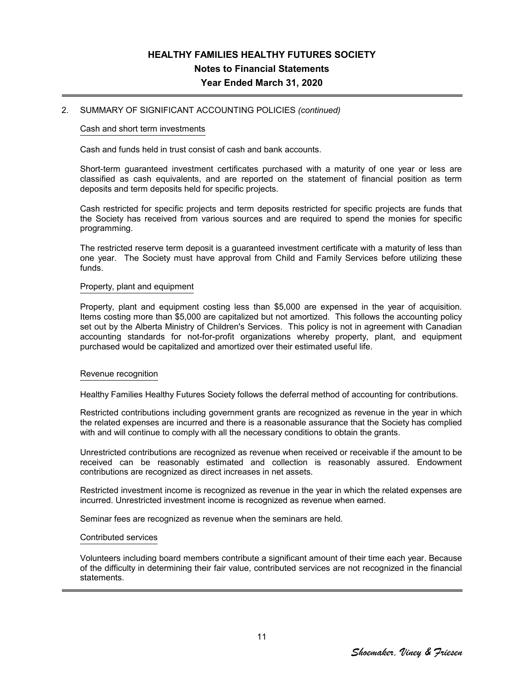### 2. SUMMARY OF SIGNIFICANT ACCOUNTING POLICIES *(continued)*

#### Cash and short term investments

Cash and funds held in trust consist of cash and bank accounts.

Short-term guaranteed investment certificates purchased with a maturity of one year or less are classified as cash equivalents, and are reported on the statement of financial position as term deposits and term deposits held for specific projects.

Cash restricted for specific projects and term deposits restricted for specific projects are funds that the Society has received from various sources and are required to spend the monies for specific programming.

The restricted reserve term deposit is a guaranteed investment certificate with a maturity of less than one year. The Society must have approval from Child and Family Services before utilizing these funds.

#### Property, plant and equipment

Property, plant and equipment costing less than \$5,000 are expensed in the year of acquisition. Items costing more than \$5,000 are capitalized but not amortized. This follows the accounting policy set out by the Alberta Ministry of Children's Services. This policy is not in agreement with Canadian accounting standards for not-for-profit organizations whereby property, plant, and equipment purchased would be capitalized and amortized over their estimated useful life.

#### Revenue recognition

Healthy Families Healthy Futures Society follows the deferral method of accounting for contributions.

Restricted contributions including government grants are recognized as revenue in the year in which the related expenses are incurred and there is a reasonable assurance that the Society has complied with and will continue to comply with all the necessary conditions to obtain the grants.

Unrestricted contributions are recognized as revenue when received or receivable if the amount to be received can be reasonably estimated and collection is reasonably assured. Endowment contributions are recognized as direct increases in net assets.

Restricted investment income is recognized as revenue in the year in which the related expenses are incurred. Unrestricted investment income is recognized as revenue when earned.

Seminar fees are recognized as revenue when the seminars are held.

#### Contributed services

Volunteers including board members contribute a significant amount of their time each year. Because of the difficulty in determining their fair value, contributed services are not recognized in the financial statements.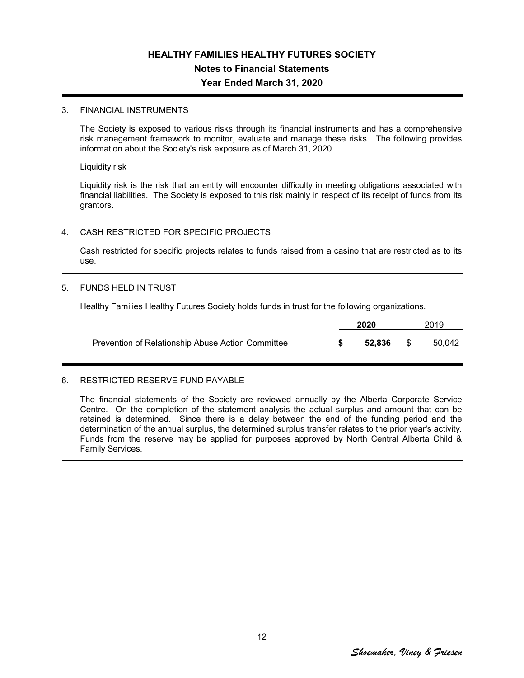### 3. FINANCIAL INSTRUMENTS

The Society is exposed to various risks through its financial instruments and has a comprehensive risk management framework to monitor, evaluate and manage these risks. The following provides information about the Society's risk exposure as of March 31, 2020.

Liquidity risk

Liquidity risk is the risk that an entity will encounter difficulty in meeting obligations associated with financial liabilities. The Society is exposed to this risk mainly in respect of its receipt of funds from its grantors.

### 4. CASH RESTRICTED FOR SPECIFIC PROJECTS

Cash restricted for specific projects relates to funds raised from a casino that are restricted as to its use.

#### 5. FUNDS HELD IN TRUST

Healthy Families Healthy Futures Society holds funds in trust for the following organizations.

|                                                   | 2020 |        |      | 2019   |  |  |
|---------------------------------------------------|------|--------|------|--------|--|--|
| Prevention of Relationship Abuse Action Committee |      | 52.836 | - SS | 50.042 |  |  |

#### 6. RESTRICTED RESERVE FUND PAYABLE

The financial statements of the Society are reviewed annually by the Alberta Corporate Service Centre. On the completion of the statement analysis the actual surplus and amount that can be retained is determined. Since there is a delay between the end of the funding period and the determination of the annual surplus, the determined surplus transfer relates to the prior year's activity. Funds from the reserve may be applied for purposes approved by North Central Alberta Child & Family Services.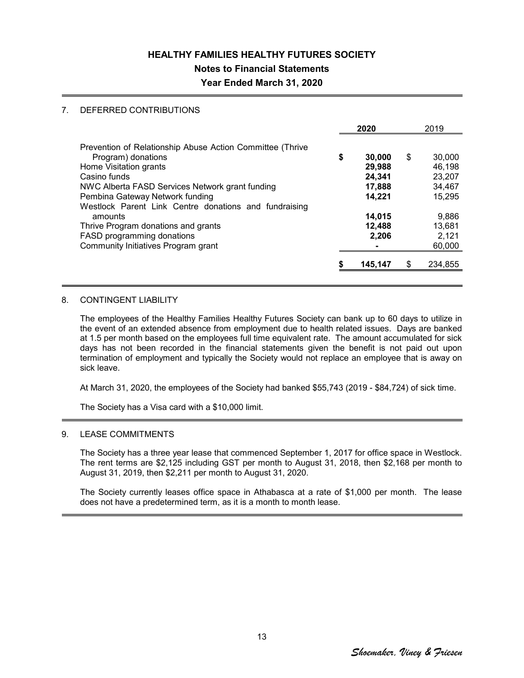## **Notes to Financial Statements**

## **Year Ended March 31, 2020**

### 7. DEFERRED CONTRIBUTIONS

|                                                           | 2020         | 2019          |
|-----------------------------------------------------------|--------------|---------------|
| Prevention of Relationship Abuse Action Committee (Thrive |              |               |
| Program) donations                                        | \$<br>30,000 | \$<br>30,000  |
| Home Visitation grants                                    | 29,988       | 46,198        |
| Casino funds                                              | 24,341       | 23,207        |
| NWC Alberta FASD Services Network grant funding           | 17,888       | 34,467        |
| Pembina Gateway Network funding                           | 14,221       | 15.295        |
| Westlock Parent Link Centre donations and fundraising     |              |               |
| amounts                                                   | 14,015       | 9,886         |
| Thrive Program donations and grants                       | 12,488       | 13.681        |
| FASD programming donations                                | 2,206        | 2,121         |
| Community Initiatives Program grant                       |              | 60,000        |
|                                                           | 145,147      | \$<br>234,855 |

#### 8. CONTINGENT LIABILITY

The employees of the Healthy Families Healthy Futures Society can bank up to 60 days to utilize in the event of an extended absence from employment due to health related issues. Days are banked at 1.5 per month based on the employees full time equivalent rate. The amount accumulated for sick days has not been recorded in the financial statements given the benefit is not paid out upon termination of employment and typically the Society would not replace an employee that is away on sick leave.

At March 31, 2020, the employees of the Society had banked \$55,743 (2019 - \$84,724) of sick time.

The Society has a Visa card with a \$10,000 limit.

### 9. LEASE COMMITMENTS

The Society has a three year lease that commenced September 1, 2017 for office space in Westlock. The rent terms are \$2,125 including GST per month to August 31, 2018, then \$2,168 per month to August 31, 2019, then \$2,211 per month to August 31, 2020.

The Society currently leases office space in Athabasca at a rate of \$1,000 per month. The lease does not have a predetermined term, as it is a month to month lease.